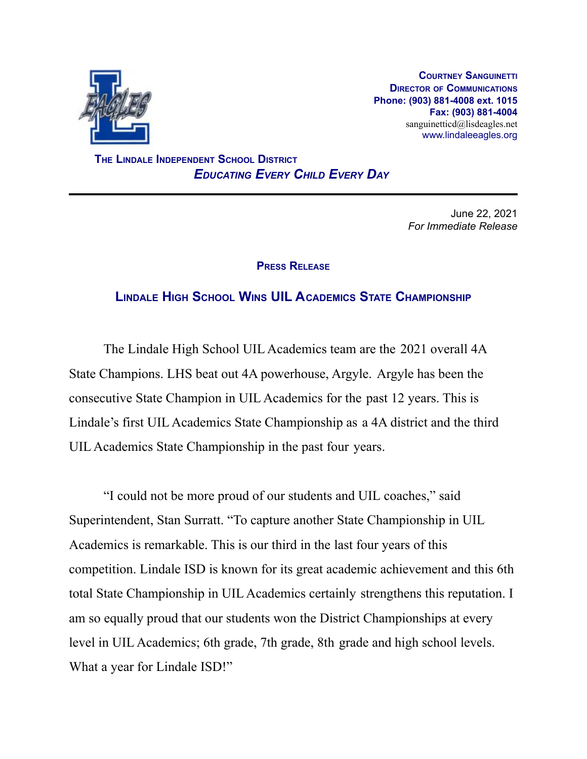

**COURTNEY SANGUINETTI DIRECTOR OF COMMUNICATIONS Phone: (903) 881-4008 ext. 1015 Fax: (903) 881-4004** sanguinetticd@lisdeagles.net www.lindaleeagles.org

**THE LINDALE INDEPENDENT SCHOOL DISTRICT** *EDUCATING EVERY CHILD EVERY DAY*

> June 22, 2021 *For Immediate Release*

## **PRESS RELEASE**

## **LINDALE HIGH SCHOOL WINS UIL ACADEMICS STATE CHAMPIONSHIP**

The Lindale High School UIL Academics team are the 2021 overall 4A State Champions. LHS beat out 4A powerhouse, Argyle. Argyle has been the consecutive State Champion in UIL Academics for the past 12 years. This is Lindale's first UIL Academics State Championship as a 4A district and the third UIL Academics State Championship in the past four years.

"I could not be more proud of our students and UIL coaches," said Superintendent, Stan Surratt. "To capture another State Championship in UIL Academics is remarkable. This is our third in the last four years of this competition. Lindale ISD is known for its great academic achievement and this 6th total State Championship in UIL Academics certainly strengthens this reputation. I am so equally proud that our students won the District Championships at every level in UIL Academics; 6th grade, 7th grade, 8th grade and high school levels. What a year for Lindale ISD!"